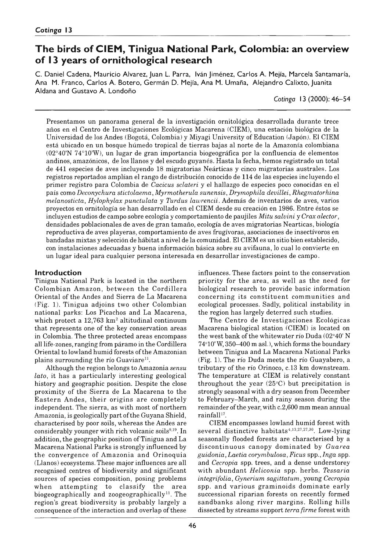# **The birds of CIEM, Tinigua National Park, Colombia: an overview of 13 years of ornithological research**

C. Daniel Cadena, Mauricio Alvarez, Juan L. Parra, Iván Jiménez, Carlos A. Mejia, Marcela Santamaría, Ana M. Franco, Carlos A. Botero, Germán D. Mejia, Ana M. Umaña, Alejandro Calixto, Juanita Aldana and Gustavo A. Londoño

*Cotinga* 13 (2000): 46–54

Presentamos un panorama general de la investigación ornitológica desarrollada durante trece años en el Centro de Investigaciones Ecológicas Macarena (CIEM), una estación biológica de la Universidad de los Andes (Bogotá, Colombia) y Miyagi University of Education (Japón). El CIEM está ubicado en un bosque húmedo tropical de tierras bajas al norte de la Amazonia colombiana (02°40'N 74°10'W), un lugar de gran importancia biogeográfica por la confluencia de elementos andinos, amazónicos, de los llanos y del escudo guyanés. Hasta la fecha, hemos registrado un total de 441 especies de aves incluyendo 18 migratorias Neárticas y cinco migratorias australes. Los registros reportados amplían el rango de distribución conocido de 114 de las especies incluyendo el primer registro para Colombia de *Cacicus sclateri* y el hallazgo de especies poco conocidas en el país como *Deconychura stictolaema*, *Myrmotherula sunensis*, *Drymophila devillei*, *Rhegmatorhina melanosticta*, *Hylophylax punctulata* y *Turdus lawrencii.* Además de inventarios de aves, varios proyectos en ornitología se han desarrollado en el CIEM desde su creación en 1986. Entre éstos se incluyen estudios de campo sobre ecología y comportamiento de paujiles *Mitu salvini* y *Crax alector*, densidades poblacionales de aves de gran tamaño, ecología de aves migratorias Nearticas, biología reproductiva de aves playeras, comportamiento de aves frugívoras, asociaciones de insectívoros en bandadas mixtas y selección de hábitat a nivel de la comunidad. El CIEM es un sitio bien establecido, con instalaciones adecuadas y buena información básica sobre su avifauna, lo cual lo convierte en un lugar ideal para cualquier persona interesada en desarrollar investigaciones de campo.

# **Introduction**

Tinigua National Park is located in the northern Colombian Amazon, between the Cordillera Oriental of the Andes and Sierra de La Macarena (Fig. 1). Tinigua adjoins two other Colombian national parks: Los Picachos and La Macarena, which protect a  $12,763 \text{ km}^2$  altitudinal continuum that represents one of the key conservation areas in Colombia. The three protected areas encompass all life-zones, ranging from páramo in the Cordillera Oriental to lowland humid forests of the Amazonian plains surrounding the río Guaviare<sup>11</sup>.

Although the region belongs to Amazonia *sensu lato*, it has a particularly interesting geological history and geographic position. Despite the close proximity of the Sierra de La Macarena to the Eastern Andes, their origins are completely independent. The sierra, as with most of northern Amazonia, is geologically part of the Guyana Shield, characterised by poor soils, whereas the Andes are considerably younger with rich volcanic soils $9,19$ . In addition, the geographic position of Tinigua and La Macarena National Parks is strongly influenced by the convergence of Amazonia and Orinoquia (Llanos) ecosystems. These major influences are all recognised centres of biodiversity and significant sources of species composition, posing problems when attempting to classify the area biogeographically and zoogeographically<sup>11</sup>. The region's great biodiversity is probably largely a consequence of the interaction and overlap of these

influences. These factors point to the conservation priority for the area, as well as the need for biological research to provide basic information concerning its constituent communities and ecological processes. Sadly, political instability in the region has largely deterred such studies.

The Centro de Investigaciones Ecológicas Macarena biological station (CIEM) is located on the west bank of the whitewater río Duda (02°40'N 74°10'W, 350-400 m asl.), which forms the boundary between Tinigua and La Macarena National Parks (Fig. 1). The río Duda meets the río Guayabero, a tributary of the río Orinoco, c. 13 km downstream. The temperature at CIEM is relatively constant throughout the year  $(25^{\circ}C)$  but precipitation is strongly seasonal with a dry season from December to February–March, and rainy season during the remainder of the year, with c.2,600 mm mean annual rainfall $17$ .

CIEM encompasses lowland humid forest with several distinctive habitats<sup>4,13,27,27,30</sup>. Low-lying seasonally flooded forests are characterised by a discontinuous canopy dom inated by *Guarea guidonia*, *Laetia corymbulosa*, *Ficus* spp., *Inga* spp. and *Cecropia* spp. trees, and a dense understorey with abundant *Heliconia* spp. herbs. *Tessaria integrifolia*, *Gynérium sagittatum*, young *Cecropia* spp. and various graminoids dominate early successional riparian forests on recently formed sandbanks along river margins. Rolling hills dissected by streams support *terra firme* forest with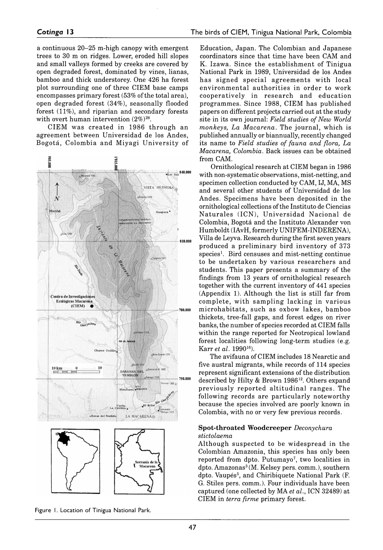a continuous  $20-25$  m-high canopy with emergent trees to 30 m on ridges. Lower, eroded hill slopes and small valleys formed by creeks are covered by open degraded forest, dominated by vines, lianas, bamboo and thick understorey. One 426 ha forest plot surrounding one of three CIEM base camps encompasses primary forest (53% of the total area), open degraded forest (34%), seasonally flooded forest (11%), and riparian and secondary forests with overt human intervention  $(2\%)^{28}$ .

CIEM was created in 1986 through an agreement between Universidad de los Andes, Bogotá, Colombia and Miyagi University of



Figure 1. Location of Tinigua National Park.

Education, Japan. The Colombian and Japanese coordinators since that time have been CAM and K. Izawa. Since the establishment of Tinigua National Park in 1989, Universidad de los Andes has signed special agreements with local environmental authorities in order to work cooperatively in research and education programmes. Since 1988, CIEM has published papers on different projects carried out at the study site in its own journal: *Field studies of New World monkeys, La Macarena.* The journal, which is published annually or biannually, recently changed its name to *Field studies of fauna and flora, La Macarena, Colombia.* Back issues can be obtained from CAM.

Ornithological research at CIEM began in 1986 with non-systematic observations, mist-netting, and specimen collection conducted by CAM, IJ, MA, MS and several other students of Universidad de los Andes. Specimens have been deposited in the ornithological collections of the Instituto de Ciencias Naturales (ICN), Universidad Nacional de Colombia, Bogotá and the Instituto Alexander von Humboldt (IAvH, formerly UNIFEM-INDERENA), Villa de Leyva. Research during the first seven years produced a preliminary bird inventory of 373 species<sup>1</sup>. Bird censuses and mist-netting continue to be undertaken by various researchers and students. This paper presents a summary of the findings from 13 years of ornithological research together with the current inventory of 441 species (Appendix 1). Although the list is still far from complete, with sampling lacking in various m icrohabitats, such as oxbow lakes, bamboo thickets, tree-fall gaps, and forest edges on river banks, the number of species recorded at CIEM falls within the range reported for Neotropical lowland forest localities following long-term studies (e.g. Karr *et al.* 199016).

The avifauna of CIEM includes 18 Nearctic and five austral migrants, while records of 114 species represent significant extensions of the distribution described by Hilty & Brown 1986<sup>12</sup>. Others expand previously reported altitudinal ranges. The following records are particularly noteworthy because the species involved are poorly known in Colombia, with no or very few previous records.

#### **Spot-throated Woodcreeper** *Deconychura stictolaema*

Although suspected to be widespread in the Colombian Amazonia, this species has only been reported from dpto. Putumayo<sup>7</sup>, two localities in dpto. Amazonas<sup>3</sup> (M. Kelsey pers. comm.), southern dpto. Vaupés<sup>5</sup>, and Chiribiquete National Park (F. G. Stiles pers. comm.). Four individuals have been captured (one collected by MA *et al.*, ICN 32489) at CIEM in *terra firme* primary forest.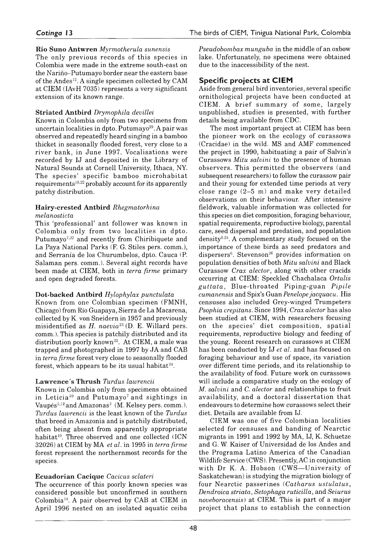### **Rio Suno Antwren** *Myrmotherula sunensis*

The only previous records of this species in Colombia were made in the extreme south-east on the Nariño–Putumayo border near the eastern base of the Andes<sup>12</sup>. A single specimen collected by CAM at CIEM (IAvH 7035) represents a very significant extension of its known range.

# **Striated Antbird** *Drymophila devillei*

Known in Colombia only from two specimens from uncertain localities in dpto. Putumayo $29$ . A pair was observed and repeatedly heard singing in a bamboo thicket in seasonally flooded forest, very close to a river bank, in June 1997. Vocalisations were recorded by IJ and deposited in the Library of Natural Sounds at Cornell University, Ithaca, NY. The species' specific bamboo microhabitat requirements<sup>18,22</sup> probably account for its apparently patchy distribution.

#### **Hairy-crested Antbird** *Rhegmatorhina melanosticta*

This 'professional' ant follower was known in Colombia only from two localities in dpto. Putumayo<sup>7,32</sup> and recently from Chiribiquete and La Paya National Parks (F. G. Stiles pers. comm.), and Serranía de los Churumbelos, dpto. Cauca (P. Salaman pers. comm.). Several sight records have been made at CIEM, both in *terra firme* primary and open degraded forests.

# **Dot-backed Antbird** *Hylophylax punctulata*

Known from one Colombian specimen (FMNH, Chicago) from Río Guapaya, Sierra de La Macarena, collected by K. von Sneidern in 1957 and previously misidentified as *H. naevia*23 (D. E. Willard pers. comm.). This species is patchily distributed and its distribution poorly known<sup>22</sup>. At CIEM, a male was trapped and photographed in 1997 by JA and CAB in *terra firme* forest very close to seasonally flooded forest, which appears to be its usual habitat $24$ .

# **Lawrence's Thrush** *Turdus lawrencii*

Known in Colombia only from specimens obtained in Leticia<sup>20</sup> and Putumayo<sup>7</sup> and sightings in Vaupés<sup>5,12</sup> and Amazonas<sup>3</sup> (M. Kelsey pers. comm.). *Turdus lawrencii* is the least known of the *Turdus* that breed in Amazonia and is patchily distributed, often being absent from apparently appropriate habitat<sup>10</sup>. Three observed and one collected (ICN 32026) at CIEM by MA *et al.* in 1995 in *terra firme* forest represent the northernmost records for the species.

# **Ecuadorian Cacique** *Cacicus sclateri*

The occurrence of this poorly known species was considered possible but unconfirmed in southern Colombia14. A pair observed by CAB at CIEM in April 1996 nested on an isolated aquatic ceiba

*Pseudobombax munguba* in the middle of an oxbow lake. Unfortunately, no specimens were obtained due to the inaccessibility of the nest.

# **Specific projects at CIEM**

Aside from general bird inventories, several specific ornithological projects have been conducted at CIEM. A brief summary of some, largely unpublished, studies is presented, with further details being available from CDC.

The most important project at CIEM has been the pioneer work on the ecology of curassows (Cracidae) in the wild. MS and AMF commenced the project in 1990, habituating a pair of Salvin's Curassows *Mitu salvini* to the presence of human observers. This permitted the observers (and subsequent researchers) to follow the curassow pair and their young for extended time periods at very close range (2–5 m) and make very detailed observations on their behaviour. After intensive fieldwork, valuable information was collected for this species on diet composition, foraging behaviour, spatial requirements, reproductive biology, parental care, seed dispersal and predation, and population density8,24. A complementary study focused on the importance of these birds as seed predators and dispersers<sup>6</sup>. Stevenson<sup>26</sup> provides information on population densities of both *Mitu salvini* and Black Curassow *Crax alector,* along with other cracids occurring at CIEM: Speckled Chachalaca *Ortalis g u tta ta* , B lue-throated Piping-Guan *Pipile cumanensis* and Spix's Guan *Penelope jacquacu.* His censuses also included Grey-winged Trumpeters *Psophia crepitans.* Since 1994, *Crax alector* has also been studied at CIEM, with researchers focusing on the species' diet composition, spatial requirements, reproductive biology and feeding of the young. Recent research on curassows at CIEM has been conducted by IJ *et al.* and has focused on foraging behaviour and use of space, its variation over different time periods, and its relationship to the availability of food. Future work on curassows will include a comparative study on the ecology of *M. salvini* and *C. alector* and relationships to fruit availability, and a doctoral dissertation that endeavours to determine how curassows select their diet. Details are available from IJ.

CIEM was one of five Colombian localities selected for censuses and banding of Nearctic migrants in 1991 and 1992 by MA, IJ, K. Schuetze and G. W. Kaiser of Universidad de los Andes and the Programa Latino America of the Canadian Wildlife Service (CWS). Presently, AC in conjunction with Dr K. A. Hobson (CWS-University of Saskatchewan) is studying the migration biology of four Nearctic passerines (*Catharus ustulatus*, *Dendroica striata*, *Setophaga ruticilla*, and *Seiurus noveboracensis*) at CIEM. This is part of a major project that plans to establish the connection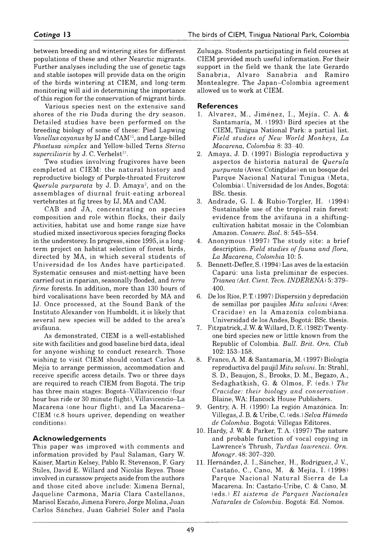between breeding and wintering sites for different populations of these and other Nearctic migrants. Further analyses including the use of genetic tags and stable isotopes will provide data on the origin of the birds wintering at CIEM, and long-term monitoring will aid in determining the importance of this region for the conservation of migrant birds.

Various species nest on the extensive sand shores of the río Duda during the dry season. Detailed studies have been performed on the breeding biology of some of these: Pied Lapwing *Vanellus cayanus* by IJ and CAM15, and Large-billed *Phaetusa simplex* and Yellow-billed Terns *Sterna* superciliaris by J. C. Verhelst<sup>31</sup>.

Two studies involving frugivores have been completed at CIEM: the natural history and reproductive biology of Purple-throated Fruitcrow *Querula purpurata* by J. D. Amaya<sup>2</sup>, and on the assemblages of diurnal fruit-eating arboreal vertebrates at fig trees by IJ, MA and CAM.

CAB and JA, concentrating on species composition and role within flocks, their daily activities, habitat use and home range size have studied mixed insectivorous species foraging flocks in the understorey. In progress, since 1995, is a longterm project on habitat selection of forest birds, directed by MA, in which several students of Universidad de los Andes have participated. Systematic censuses and mist-netting have been carried out in riparian, seasonally flooded, and *terra firme* forests. In addition, more than 130 hours of bird vocalisations have been recorded by MA and IJ. Once processed, at the Sound Bank of the Instituto Alexander von Humboldt, it is likely that several new species will be added to the area's avifauna.

As demonstrated, CIEM is a well-established site with facilities and good baseline bird data, ideal for anyone wishing to conduct research. Those wishing to visit CIEM should contact Carlos A. Mejia to arrange permission, accommodation and receive specific access details. Two or three days are required to reach CIEM from Bogotá. The trip has three main stages: Bogotá–Villavicencio (fourhour bus ride or 30 minute flight), Villavicencio-La Macarena (one hour flight), and La Macarena-CIEM (c.8 hours upriver, depending on weather conditions).

### **Acknow ledgem ents**

This paper was improved with comments and information provided by Paul Salaman, Gary W. Kaiser, Martin Kelsey, Pablo R. Stevenson, F. Gary Stiles, David E. Willard and Nicolás Reyes. Those involved in curassow projects aside from the authors and those cited above include: Ximena Bernal, Jaqueline Carmona, María Clara Castellanos, Marisol Escaño, Jimena Forero, Jorge Molina, Juan Carlos Sánchez, Juan Gabriel Soler and Paola

Zuluaga. Students participating in field courses at CIEM provided much useful information. For their support in the field we thank the late Gerardo Sanabria, Alvaro Sanabria and Ramiro Montealegre. The Japan-Colombia agreement allowed us to work at CIEM.

### **References**

- 1. Alvarez, M., Jiménez, I., Mejía, C. A. & Santamaría, M. (1993) Bird species at the CIEM, Tinigua National Park: a partial list. *Field studies of New World Monkeys, La Macarena, Colombia* 8: 33–40.
- 2. Amaya, J. D. (1997) Biología reproductiva y aspectos de historia natural de *Querula purpurata* (Aves: Cotingidae) en un bosque del Parque Nacional Natural Tinigua (Meta, Colombia). Universidad de los Andes, Bogotá: BSc. thesis.
- 3. Andrade, G. I. & Rubio-Torgler, H. (1994) Sustainable use of the tropical rain forest: evidence from the avifauna in a shiftingcultivation habitat mosaic in the Colombian Amazon. *Conserv. Biol.* 8: 545–554.
- 4. Anonymous (1997) The study site: a brief description. *Field studies of fauna and flora, La Macarena, Colombia* 10: 5.
- 5. Bennett-Defler, S. (1994) Las aves de la estación Capará: una lista preliminar de especies. *Trianea (Act. Cient. Tecn. INDERENA)* 5: 379– 400.
- 6. De los Ríos, P. T. (1997) Dispersión y depredación de semillas por paujiles *Mitu salvini* (Aves: Cracidae) en la Amazonia colombiana. Universidad de los Andes, Bogotá: BSc. thesis.
- 7. Fitzpatrick, J. W. & Willard, D. E. ( 1982) Twentyone bird species new or little known from the Republic of Colombia. *Bull. Brit. Orn. Club* 102: 153–158.
- 8. Franco, A. M. & Santamaría, M. (1997) Biología reproductiva del paujil *Mitu salvini.* In: Strahl, S. D., Beaujon, S., Brooks, D. M., Begazo, A., Sedaghatkish, G. & Olmos, F. (eds.) *The Cracidae: their biology and conservation.* Blaine, WA: Hancock House Publishers.
- 9. Gentry, A. H. (1990) La región Amazónica. In: Villegas, J. B. & Uribe, C. (eds.) *Selva Húmeda de Colombia.* Bogotá: Villegas Editores.
- 10. Hardy, J. W. & Parker, T. A. (1997) The nature and probable function of vocal copying in Lawrence's Thrush, *Turdus lawrencii. Orn, Monogr.* 48: 307–320.
- 11. Hernández, J. L, Sánchez, H., Rodríguez, J. V, Castaño, C., Cano, M. & Mejia, I. (1998) Parque Nacional Natural Sierra de La Macarena. In: Castaño-Uribe, C. & Cano, M. (eds.) *El sistema de Parques Nacionales Naturales de Colombia,* Bogotá: Ed. Nomos.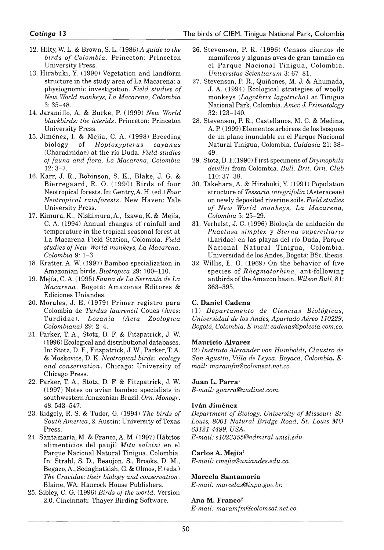- 12. Hilty, W. L. & Brown, S. L. (1986) *A guide to the birds of Colombia.* Princeton: Princeton University Press.
- 13. Hirabuki, Y. (1990) Vegetation and landform structure in the study area of La Macarena: a physiognomic investigation. *Field studies of New World monkeys, La Macarena, Colombia* 3: 35–48.
- 14. Jaramillo, A. & Burke, P. (1999) *New World blackbirds: the icterids.* Princeton: Princeton University Press.
- 15. Jiménez, I. & Mejia, C. A. (1998) Breeding biology of *Hoploxypterus cayanus* (Charadriidae) at the río Duda. *Field studies of fauna and flora, La Macarena, Colombia* 12: 3–7.
- 16. Karr, J. R., Robinson, S. K., Blake, J. G. & Bierregaard, R. O. (1990) Birds of four Neotropical forests. In: Gentry, A. H. (ed.) *Four Neotropical rainforests.* New Haven: Yale University Press.
- 17. Kimura, K., Nishimura, A., Izawa, K. & Mejia, C. A. (1994) Annual changes of rainfall and temperature in the tropical seasonal forest at La Macarena Field Station, Colombia. *Field studies of New World monkeys, La Macarena, Colombia* 9: 1–3.
- 18. Kratter, A. W. (1997) Bamboo specialization in Amazonian birds. *Biotropica* 29: 100–110.
- 19. Mejia, C. A. (1995) *Fauna de La Serranía de La Macarena.* Bogotá: Amazonas Editores & Ediciones Uniandes.
- 20. Morales, J. E. (1979) Primer registro para Colombia de *Turdus lawrencii* Coues (Aves: Turdidae). *Lozanía (Acta Zoológica Colombiana)* 29: 2–4.
- 21. Parker, T. A., Stotz, D. F. & Fitzpatrick, J. W. (1996) Ecological and distributional databases. In: Stotz, D. F, Fitzpatrick, J. W., Parker, T. A. & Moskovits, D. K. *Neotropical birds: ecology and conservation.* Chicago: University of Chicago Press.
- 22. Parker, T. A., Stotz, D. F. & Fitzpatrick, J. W. (1997) Notes on avian bamboo specialists in southwestern Amazonian Brazil. *Orn. Monogr.* 48: 543–547.
- 23. Ridgely, R. S. & Tudor, G. (1994) *The birds of South America,* 2. Austin: University of Texas Press.
- 24. Santamaría, M. & Franco, A. M. (1997) Hábitos alimenticios del paujil *Mitu salvini* en el Parque Nacional Natural Tinigua, Colombia. In: Strahl, S. D., Beaujon, S., Brooks, D. M., Begazo, A., Sedaghatkish, G. & Olmos, F. (eds.) *The Cracidae: their biology and conservation.* Blaine, WA: Hancock House Publishers.
- 25. Sibley, C. G. (1996) *Birds of the world.* Version 2.0. Cincinnati: Thayer Birding Software.
- 26. Stevenson, P. R. (1996) Censos diurnos de mamíferos y algunas aves de gran tamaño en el Parque Nacional Tinigua, Colombia. *Universitas Scientiarum* 3: 67–81.
- 27. Stevenson, P. R., Quiñones, M. J. & Ahumada, J. A. (1994) Ecological strategies of woolly monkeys (*Lagothrix lagotricha*) at Tinigua National Park, Colombia. Amer. *J. Primatology* 32: 123–140.
- 28. Stevenson, P. R., Castellanos, M. C. & Medina, A. P. (1999) Elementos arbóreos de los bosques de un plano inundable en el Parque Nacional Natural Tinigua, Colombia. *Caldasia* 21: 38– 49.
- 29. Stotz, D. F. (1990) First specimens of *Drymophila devillei* from Colombia. *Bull. Brit. Orn. Club* 110: 37–38.
- 30. Takehara, A. & Hirabuki, Y. (1991) Population structure of *Tessaria integrifolia* (Asteraceae) on newly deposited riverine soils. *Field studies of New World monkeys, La Macarena, Colombia* 5: 25-29.
- 31. Verhelst, J. C. (1996) Biología de anidación de *Phaetusa simplex* y *Sterna superciliaris* (Laridae) en las playas del río Duda, Parque Nacional Natural Tinigua, Colombia. Universidad de los Andes, Bogotá: BSc. thesis.
- 32. Willis, E. O. (1969) On the behavior of five species of *Rhegmatorhina*, ant-following antbirds of the Amazon basin. *Wilson Bull.* 81: 363–395.

# **C. Daniel Cadena**

(1) *Departamento de Ciencias Biológicas, Universidad de los Andes, Apartado Aéreo 110229, Bogotá, Colombia. E-mail: [cadenas@polcola.com.co.](mailto:cadenas@polcola.com.co)*

### **Mauricio Alvarez**

(2) *Instituto Alexander von Humboldt, Claustro de San Agustín, Villa de Leyva, Boyacá, Colombia, Email: [maramfm@colomsat.net.co.](mailto:maramfm@colomsat.net.co)*

### **Juan L. Parra**1

*E-mail: [gparra@andinet.com.](mailto:gparra@andinet.com)*

### **Iván Jiménez**

*Department of Biology, University of Missouri–St. Louis, 8001 Natural Bridge Road, St. Louis MO 63121-4499, USA. E-mail: [s1023355@admiral.umsl.edu](mailto:sl023355@admiral.umsl.edu).*

### **Carlos A. Mejía**1

*E-mail: [cmejia@uniandes.edu.co.](mailto:cmejia@uniandes.edu.co)*

# **Marcela Santamaría**

*E-mail: marxelas@inpa.gov.br.*

### **Ana M. Franco**2

*E-mail: [maramfm@colomsat.net.co](mailto:maramfm@colomsat.net.co).*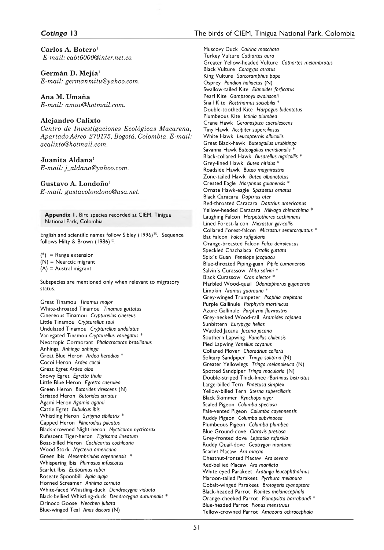#### Cotinga 13

Carlos A. Botero<sup>1</sup>  $E$ -mail: cabt $6000$ @inter.net.co.

Germán D. Meiía<sup>1</sup> E-mail: germanmitu@yahoo.com.

Ana M. Umaña E-mail: amuv@hotmail.com.

#### Alejandro Calixto

Centro de Investigaciones Ecológicas Macarena, Apartado Aéreo 270175, Bogotá, Colombia. E-mail: acalixto@hotmail.com.

#### Juanita Aldana<sup>1</sup>

E-mail: j\_aldana@yahoo.com.

#### Gustavo A. Londoño<sup>1</sup>

E-mail: gustavolondono@usa.net.

Appendix 1. Bird species recorded at CIEM, Tinigua National Park, Colombia.

English and scientific names follow Sibley (1996)<sup>25</sup>. Sequence follows Hilty & Brown (1986)<sup>12</sup>.

 $(*)$  = Range extension  $(N)$  = Nearctic migrant  $(A)$  = Austral migrant

Subspecies are mentioned only when relevant to migratory status.

Great Tinamou Tinamus major White-throated Tinamou Tinamus guttatus Cinereous Tinamou Crypturellus cinereus Little Tinamou Crypturellus soui Undulated Tinamou Crypturellus undulatus Variegated Tinamou Crypturellus variegatus \* Neotropic Cormorant Phalacrocorax brasilianus Anhinga Anhinga anhinga Great Blue Heron Ardea herodias \* Cocoi Heron Ardea cocoi Great Egret Ardea alba Snowy Egret Egretta thula Little Blue Heron Egretta caerulea Green Heron Butorides virescens (N) Striated Heron Butorides striatus Agami Heron Agamia agami Cattle Egret Bubulcus ibis Whistling Heron Syrigma sibilatrix \* Capped Heron Pilherodius pileatus Black-crowned Night-heron Nycticorax nycticorax Rufescent Tiger-heron Tigrisoma lineatum Boat-billed Heron Cochlearius cochlearia Wood Stork Mycteria americana Green Ibis Mesembrinibis cayennensis \* Whispering Ibis Phimosus infuscatus Scarlet Ibis Eudocimus ruber Roseate Spoonbill Ajaia ajaja Horned Screamer Anhima cornuta White-faced Whistling-duck Dendrocygna viduata Black-bellied Whistling-duck Dendrocygna autumnalis \* Orinoco Goose Neochen jubata Blue-winged Teal Anas discors (N)

Muscovy Duck Cairina moschata Turkey Vulture Cathartes aura Greater Yellow-headed Vulture Cathartes melambrotus Black Vulture Coragyps atratus King Vulture Sarcoramphus papa Osprey Pandion haliaetus (N) Swallow-tailed Kite Elanoides forficatus Pearl Kite Gampsonyx swainsonii Snail Kite Rostrhamus sociabilis \* Double-toothed Kite Harpagus bidentatus Plumbeous Kite Ictinia plumbea Crane Hawk Geranospiza caerulescens Tiny Hawk Accipiter superciliosus White Hawk Leucopternis albicollis Great Black-hawk Buteogallus urubitinga Savanna Hawk Buteogallus meridionalis \* Black-collared Hawk Busarellus nigricollis \* Grey-lined Hawk Buteo nitidus \* Roadside Hawk Buteo magnirostris Zone-tailed Hawk Buteo albonotatus Crested Eagle Morphnus guianensis<sup>3</sup> Ornate Hawk-eagle Spizaetus ornatus Black Caracara Daptrius ater Red-throated Caracara Daptrius americanus Yellow-headed Caracara Milvago chimachima \* Laughing Falcon Herpetotheres cachinnans Lined Forest-falcon Micrastur gilvicollis Collared Forest-falcon Micrastur semitorquatus \* Bat Falcon Falco rufigularis Orange-breasted Falcon Falco deiroleucus Speckled Chachalaca Ortalis guttata Spix's Guan Penelope jacquacu Blue-throated Piping-guan Pipile cumanensis Salvin's Curassow Mitu salvini \* Black Curassow Crax alector \* Marbled Wood-quail Odontophorus gujanensis Limpkin Aramus guarauna \* Grey-winged Trumpeter Psophia crepitans Purple Gallinule Porphyrio martinicus Azure Gallinule Porphyrio flavirostris Grey-necked Wood-rail Aramides cajanea Sunbittern Eurypyga helias Wattled Jacana Jacana jacana Southern Lapwing Vanellus chilensis Pied Lapwing Vanellus cayanus Collared Plover Charadrius collaris Solitary Sandpiper Tringa solitaria (N) Greater Yellowlegs Tringa melanoleuca (N) Spotted Sandpiper Tringa macularia (N) Double-striped Thick-knee Burhinus bistriatus Large-billed Tern Phaetusa simplex Yellow-billed Tern Sterna suberciliaris Black Skimmer Rynchops niger Scaled Pigeon Columba speciosa Pale-vented Pigeon Columba cayennensis Ruddy Pigeon Columba subvinacea Plumbeous Pigeon Columba plumbea Blue Ground-dove Claravis pretiosa Grey-fronted dove Leptotila rufaxilla Ruddy Quail-dove Geotrygon montana Scarlet Macaw Ara macao Chestnut-fronted Macaw Ara severa Red-bellied Macaw Ara manilata White-eyed Parakeet Aratinga leucophthalmus Maroon-tailed Parakeet Pyrrhura melanura Cobalt-winged Parakeet Brotogeris cyanoptera Black-headed Parrot Pionites melanocephala Orange-cheeked Parrot Pionopsitta barrabandi \* Blue-headed Parrot Pionus menstruus Yellow-crowned Parrot Amazona ochrocephala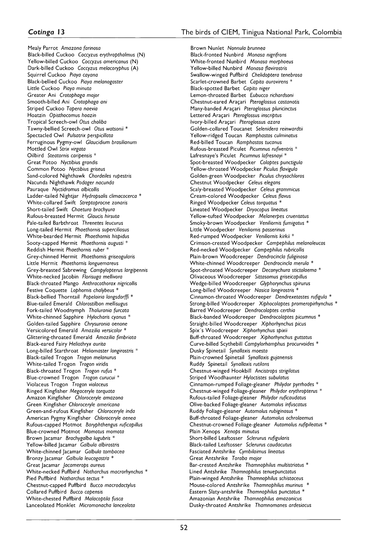# Cotinga 13

Mealy Parrot Amazona farinosa Black-billed Cuckoo Coccyzus erythropthalmus (N) Yellow-billed Cuckoo Coccyzus americanus (N) Dark-billed Cuckoo Coccyzus melacoryphus (A) Squirrel Cuckoo Piaya cayana Black-bellied Cuckoo Piaya melanogaster Little Cuckoo Piaya minuta Greater Ani Crotophaga major Smooth-billed Ani Crotophaga ani Striped Cuckoo Tapera naevia Hoatzin Obisthocomus hoazin Tropical Screech-owl Otus choliba Tawny-bellied Screech-owl Otus watsonii \* Spectacled Owl Pulsatrix perspicillata Ferruginous Pygmy-owl Glaucidium brasilianum Mottled Owl Strix virgata Oilbird Steatornis caripensis \* Great Potoo Nyctibius grandis Common Potoo Nyctibius griseus Sand-colored Nighthawk Chordeiles rupestris Nacunda Nighthawk Podager nacunda Pauraque Nyctidromus albicollis Ladder-tailed Nightjar Hydropsalis climacocerca \* White-collared Swift Streptoprocne zonaris Short-tailed Swift Chaetura brachyura Rufous-breasted Hermit Glaucis hirsuta Pale-tailed Barbthroat Threnetes leucurus Long-tailed Hermit Phaethornis superciliosus White-bearded Hermit Phaethornis hispidus Sooty-capped Hermit Phaethornis augusti<sup>3</sup> Reddish Hermit Phaethornis ruber \* Grey-chinned Hermit Phaethornis griseogularis Little Hermit Phaethornis longuemareus Grey-breasted Sabrewing Campylopterus largipennis White-necked Jacobin Florisuga mellivora Black-throated Mango Anthrocothorax nigricollis Festive Coquette Lophornis chalybeus \* Black-bellied Thorntail Popelairia langsdorffi \* Blue-tailed Emerald Chlorostilbon mellisugus Fork-tailed Woodnymph Thalurania furcata White-chinned Sapphire Hylocharis cyanus Golden-tailed Sapphire Chrysuronia oenone Versicolored Emerald Amazilia versicolor \* Glittering-throated Emerald Amazilia fimbriata Black-eared Fairy Heliothryx aurita Long-billed Starthroat Heliomaster longirostris \* Black-tailed Trogon Trogon melanurus White-tailed Trogon Trogon viridis Black-throated Trogon Trogon rufus \* Blue-crowned Trogon Trogon curucui \* Violaceus Trogon Trogon violaceus Ringed Kingfisher Megaceryle torquata Amazon Kingfisher Chloroceryle amazona Green Kingfisher Chlorocervle americana Green-and-rufous Kingfisher Chloroceryle inda American Pygmy Kingfisher Chloroceryle aenea Rufous-capped Motmot Baryphthengus ruficapillus Blue-crowned Motmot Momotus momota Brown Jacamar Brachygalba lugubris \* Yellow-billed Jacamar Galbula albirostris White-chinned lacamar Galbula tombacea Bronzy Jacamar Galbula leucogastra \* Great acamar lacamerops aureus White-necked Puffbird Notharchus macrorhynchus \* Pied Puffbird Notharchus tectus \* Chestnut-capped Puffbird Bucco macrodactylus Collared Puffbird Bucco capensis White-chested Puffbird Malacoptila fusca Lanceolated Monklet Micromonacha lanceolata

Brown Nunlet Nonnula brunnea Black-fronted Nunbird Monasa nigrifrons White-fronted Nunbird Monasa morphoeus Yellow-billed Nunbird Monasa flavirostris Swallow-winged Puffbird Chelidoptera tenebrosa Scarlet-crowned Barbet Capito aurovirens Black-spotted Barbet Capito niger Lemon-throated Barbet Eubucco richardsoni Chestnut-eared Aracari Pteroglossus castanotis Many-banded Araçari Pteroglossus pluricinctus Lettered Araçari Pteroglossus inscriptus Ivory-billed Aracari Pteroglossus azara Golden-collared Toucanet Selenidera reinwardtii Yellow-ridged Toucan Ramphastos culminatus Red-billed Toucan Ramphastos tucanus Rufous-breasted Piculet Picumnus rufiventris \* Lafresnaye's Piculet Picumnus lafresnayi \* Spot-breasted Woodpecker Colaptes punctigula Yellow-throated Woodpecker Piculus flavigula Golden-green Woodpecker Piculus chrysochloros Chestnut Woodpecker Celeus elegans Scaly-breasted Woodpecker Celeus grammicus Cream-colored Woodpecker Celeus flavus Ringed Woodpecker Celeus torquatus Lineated Woodpecker Dryocopus lineatus Yellow-tufted Woodpecker Melanerpes cruentatus Smoky-brown Woodpecker Veniliornis fumigatus \* Little Woodpecker Veniliornis passerinus Red-rumped Woodpecker Veniliornis kirkii \* Crimson-crested Woodpecker Campephilus melanoleucos Red-necked Woodpecker Campephilus rubricollis Plain-brown Woodcreeper Dendrocincla fuliginosa White-chinned Woodcreeper Dendrocincla merula \* Spot-throated Woodcreeper Deconychura stictolaema \* Olivaceous Woodcreeper Sittasomus griseicapillus Wedge-billed Woodcreeper Glyphorynchus spirurus Long-billed Woodcreeper Nasica longirostris \* Cinnamon-throated Woodcreeper Dendrexetastes rufigula \* Strong-billed Woodcreeper Xiphocolaptes promeropirhynchus \* Barred Woodcreeper Dendrocolaptes certhia Black-banded Woodcreeper Dendrocolaptes picumnus \* Straight-billed Woodcreeper Xiphorhynchus picus Spix's Woodcreeper Xiphorhynchus spixii Buff-throated Woodcreeper Xiphorhynchus guttatus Curve-billed Scythebill Campylorhamphus procurvoides \* Dusky Spinetail Synallaxis moesta Plain-crowned Spinetail Synallaxis gujanensis Ruddy Spinetail Synallaxis rutilans Chestnut-winged Hookbill Ancistrops strigilatus Striped Woodhaunter Hyloctistes subulatus Cinnamon-rumped Foliage-gleaner Philydor pyrrhodes \* Chestnut-winged Foliage-gleaner Philydor erythropterus \* Rufous-tailed Foliage-gleaner Philydor ruficaudatus Olive-backed Foliage-gleaner Automolus infuscatus Ruddy Foliage-gleaner Automolus rubiginosus \* Buff-throated Foliage-gleaner Automolus ochrolaemus Chestnut-crowned Foliage-gleaner Automolus rufipileatus \* Plain Xenops Xenops minutus Short-billed Leaftosser Sclerurus rufigularis Black-tailed Leaftosser Sclerurus caudacutus Fasciated Antshrike Cymbilaimus lineatus Great Antshrike Taraba major Bar-crested Antshrike Thamnophilus multistriatus \* Lined Antshrike Thamnophilus tenuepunctatus Plain-winged Antshrike Thamnophilus schistaceus Mouse-colored Antshrike Thamnophilus murinus Eastern Slaty-antshrike Thamnophilus punctatus \* Amazonian Antshrike Thamnophilus amazonicus Dusky-throated Antshrike Thamnomanes ardesiacus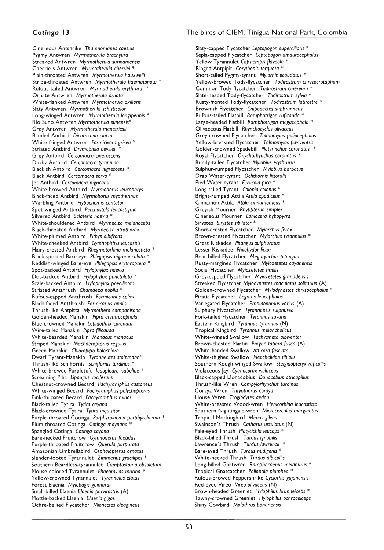C in ereous A ntshrike *Thamnomanes caesius* Pygmy A ntw ren *Myrmotherula brachyura* Streaked A ntw ren *Myrmotherula surinamensis* Cherrie's Antwren *Myrmotherula cherriei* \* Plain-throated A ntw ren *Myrmotherula hauxwelli* Stripe-throated Antwren *Myrmotherula haematonota* \* Rufous-tailed A ntw ren *Myrmotherula erythrura* \* Ornate Antwren Myrmotherula ornata W hite-flanked A ntw ren *Myrmotherula axillaris* Slaty Antwren *Myrmotherula schisticolor* Long-winged A ntw ren *Myrmotherula longipennis* \* Rio Suno A ntw ren *Myrmotherula sunensis\** G rey A ntw ren *Myrmotherula menetriesii* Banded A ntbird *Dichrozona cincta* W hite-fringed A ntw ren *Formicivora grísea* \* Striated Antbird *Drymophila devillei* G rey A ntbird *Cercomacra cinerascens* Dusky A ntbird *Cercomacra tyrannina* Blackish A ntbird *Cercomacra nigrescens* \* Black A ntbird *Cercomacra serva \** Jet A ntbird *Cercomacra nigricans* W h ite-b ro w ed A ntbird *Myrmoborus leucophrys* Black-faced A ntbird *Myrmoborus myotherinus* W arbling A ntbird *Hypocnemis cantator* Spot-w inged A ntbird *Percnostola leucostigma* Silvered A ntbird *Sclateria naevia \** White-shouldered Antbird *Myrmeciza melanoceps* B lack-throated A ntbird *Myrmeciza atrothorax* W hite-plum ed A ntbird *Pithys albifrons* White-cheeked Antbird *Gymnopithys leucaspis* H airy-crested A ntbird *Rhegmatorhina melanosticta* \* B lack-spotted Bare-eye *Phlegopsis nigromaculata* \* R eddish-winged Bare-eye *Phlegopsis erythroptera* \* Spot-backed A ntbird *Hylophylax naevia* D ot-backed A ntbird *Hylophylax punctulata* \* Scale-backed A ntbird *Hylophylax poecilinota* Striated Antthrush *Chamaeza nobilis* \* Rufous-capped A ntthrush *Formicarius colma* Black-faced A ntthrush *Formicarius analis* Thrush-like A ntpitta *Myrmothera campanisona* G olden-headed Manakin *Pipra erythrocephala* B lue-crow ned Manakin *Lepidothrix coronata* W ire-tailed Manakin *Pipra filicauda* W h ite-b eard ed Manakin *Manacus manacus* Striped Manakin *Machaeropterus regulus* G reen Manakin *Chloropipo holochlora* D w arf Tyrant-M anakin *Tyranneutes stolzmanni* Thrush-like Schiffornis *Schiffornis turdinus* \* White-browed Purpletuft *Iodopleura isabellae* \* Scream ing Piha *Lipaugus vociferans* C h estn u t-cro w n ed Becard *Pachyramphus castaneus* W hite-w inged Becard *Pachyramphus polychopterus* P ink-throated Becard *Pachyramphus minor* Black-tailed Tytira *Tytira cayana* Black-crowned Tytira *Tytira inquisitor* Purple-throated Cotinga *Porphyrolaema porphyrolaema* \* P lum -throated C otinga *Cotinga maynana \** Spangled C otinga *Cotinga cayana* B are-necked Fruitcrow *Gymnoderus foetidus* Purple-throated Fruitcrow *Querula purpurata* A m azonian U m brellabird *Cephalopterus ornatus* S lender-footed T yrannulet *Zimmerius gracilipes* \* Southern Beardless-tyrannulet *Camptostoma obsoletum* M ouse-colored Tyrannulet *Phaeomyias murina* \* Y ellow -crow ned Tyrannulet *Tyrannulus elatus* F o rest Elaenia *Myiopagis gaimardii* Small-billed Elaenia *Elaenia parvirostris* (A) M ottle-backed Elaenia *Elaenia gigas* O chre-bellied Flycatcher *Mionectes oleagineus*

Slaty-capped Flycatcher *Leptopogon superciliaris* \* Sepia-capped Flycatcher *Leptopogon amaurocephalus* Yellow T yrannulet *Capsiempis flaveola* \* Ringed A ntpipit *Corythopis torquata* \* Short-tailed Pygmy-tyrant *Myiornis ecaudatus* \* Y ellow -brow ed T ody-Flycatcher *Todirostrum chrysocrotaphum* Common Tody-flycatcher *Todirostrum cinereum* Slate-headed Tody-Flycatcher *Todirostrum sylvia* \* R usty-fronted Tody-Flycatcher *Todirostrum latirostre* \* Brownish Flycatcher *Cnipodectes subbrunneus* Rufous-tailed Flatbill *Ramphotrigon ruficauda* \* Large-headed Flatbill *Ramphotrigon megacephala* \* O livaceous Flatbill *Rhynchocyclus olivaceus* G rey-crow ned Flycatcher *Tolmomyias poliocephalus* Y ellow -breasted Flycatcher *Tolmomyias flaviventris* G olden-crow ned Spadebill *Platyrinchus coronatus* \* Royal Flycatcher *Onychorhynchus coronatus* \* Ruddy-tailed Flycatcher *Myiobius erythrurus* Sulphur-rum ped Flycatcher *Myiobius barbatus* Drab Water-tyrant Ochthornis littoralis Pied Water-tyrant *Fluvicola pica* \* Long-tailed T yrant *Colonia colonus* \* B right-rum ped Attila *Attila spadiceus* \* C innam on A ttila *Attila cinnamomeus* \* Greyish M ourner *Rhytipterna simplex* C in ereous M ourner *Laniocera hypopyrra* Sirystes *Sirystes sibilator* \* Short-crested Flycatcher *Myiarchus ferox* Brown-crested Flycatcher *Myiarchus tyrannulus* \* G reat Kiskadee *Pitangus sulphuratus* Lesser Kiskadee *Philohydor lictor* Boat-billed Flycatcher *Megarynchus pitangua* Rusty-m argined Flycatcher *Myiozetetes cayanensis* Social Flycatcher *Myiozetetes similis* G rey-capped Flycatcher *M yiozetetes granadensis* Streaked Flycatcher *Myiodynastes maculatus solitarius* (A) G olden-crow ned Flycatcher *Myiodynastes chrysocephalus* \* Piratic Flycatcher *Legatus leucophaius* Variegated Flycatcher *Empidonomus varius* (A) Sulphury Flycatcher *Tyrannopsis sulphurea* Fork-tailed Flycatcher *Tyrannus savana* Eastern Kingbird *Tyrannus tyrannus* (N) Tropical Kingbird *Tyrannus melancholicus* W hite-w inged Swallow *Tachycineta albiventer* B row n-chested Martin *Progne tapera fusca* (A) W hite-banded Swallow *Atticora fasciata* W hite-thighed Swallow *Neochelidon tibialis* S outhern Rough-winged Swallow *Stelgidopteryx ruficollis* V iolaceous Jay *Cyanocorax violaceus* Black-capped D onacobius *Donacobius atricapillus* Thrush-like Wren *Campylorhynchus turdinus* Coraya Wren Thryothorus coraya House Wren *Troglodytes aedon* White-breasted Wood-wren *Henicorhina leucosticta* Southern Nightingale-Wren *Microcerculus marginatus* Tropical Mockingbird *Mimus gilvus* Sw ainson's Thrush *Catharus ustulatus* (N) Pale-eyed Thrush *Platycichla leucops \** Black-billed Thrush *Turdus ignobilis* Lawrence's Thrush *Turdus lawrencii* \* Bare-eyed T hrush *Turdus nudigenis \** White-necked Thrush *Turdus albicollis* Long-billed G natw ren *Ramphocaenus melanurus \** Tropical Gnatcatcher Polioptila plumbea<sup>\*</sup> R ufous-brow ed P eppershrike *Cyclarhis gujanensis* R ed-eyed V ireo *Vireo olivaceus* (N) Brown-headed Greenlet *Hylophilus brunneiceps* \* Taw ny-crow ned G reen let *Hylophilus ochraceiceps* Shiny C ow bird *Molothrus bonariensis*